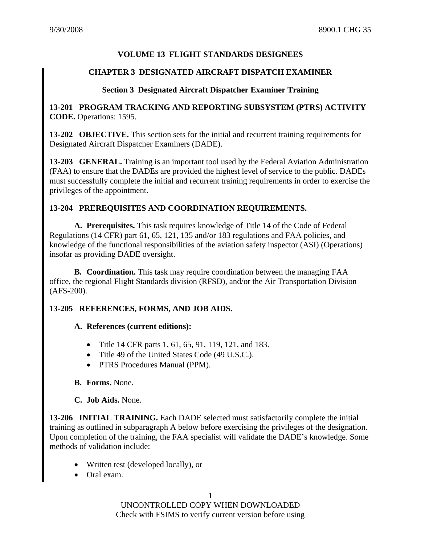# **VOLUME 13 FLIGHT STANDARDS DESIGNEES**

## **CHAPTER 3 DESIGNATED AIRCRAFT DISPATCH EXAMINER**

#### **Section 3 Designated Aircraft Dispatcher Examiner Training**

**13-201 PROGRAM TRACKING AND REPORTING SUBSYSTEM (PTRS) ACTIVITY CODE.** Operations: 1595.

**13-202 OBJECTIVE.** This section sets for the initial and recurrent training requirements for Designated Aircraft Dispatcher Examiners (DADE).

**13-203 GENERAL.** Training is an important tool used by the Federal Aviation Administration (FAA) to ensure that the DADEs are provided the highest level of service to the public. DADEs must successfully complete the initial and recurrent training requirements in order to exercise the privileges of the appointment.

### **13-204 PREREQUISITES AND COORDINATION REQUIREMENTS.**

**A. Prerequisites.** This task requires knowledge of Title 14 of the Code of Federal Regulations (14 CFR) part 61, 65, 121, 135 and/or 183 regulations and FAA policies, and knowledge of the functional responsibilities of the aviation safety inspector (ASI) (Operations) insofar as providing DADE oversight.

**B. Coordination.** This task may require coordination between the managing FAA office, the regional Flight Standards division (RFSD), and/or the Air Transportation Division (AFS-200).

### **13-205 REFERENCES, FORMS, AND JOB AIDS.**

#### **A. References (current editions):**

- Title 14 CFR parts 1, 61, 65, 91, 119, 121, and 183.
- Title 49 of the United States Code (49 U.S.C.).
- PTRS Procedures Manual (PPM).

### **B. Forms.** None.

### **C. Job Aids.** None.

**13-206 INITIAL TRAINING.** Each DADE selected must satisfactorily complete the initial training as outlined in subparagraph A below before exercising the privileges of the designation. Upon completion of the training, the FAA specialist will validate the DADE's knowledge. Some methods of validation include:

- Written test (developed locally)*,* or
- Oral exam.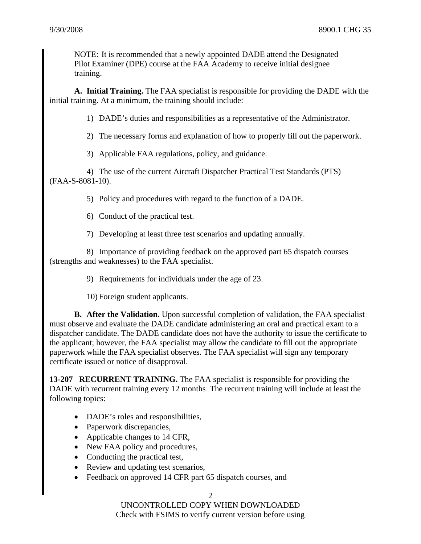NOTE: It is recommended that a newly appointed DADE attend the Designated Pilot Examiner (DPE) course at the FAA Academy to receive initial designee training.

**A. Initial Training.** The FAA specialist is responsible for providing the DADE with the initial training. At a minimum, the training should include:

1) DADE's duties and responsibilities as a representative of the Administrator.

2) The necessary forms and explanation of how to properly fill out the paperwork.

3) Applicable FAA regulations, policy, and guidance.

4) The use of the current Aircraft Dispatcher Practical Test Standards (PTS) (FAA-S-8081-10).

5) Policy and procedures with regard to the function of a DADE.

6) Conduct of the practical test.

7) Developing at least three test scenarios and updating annually.

8) Importance of providing feedback on the approved part 65 dispatch courses (strengths and weaknesses) to the FAA specialist.

9) Requirements for individuals under the age of 23.

10) Foreign student applicants.

**B. After the Validation.** Upon successful completion of validation, the FAA specialist must observe and evaluate the DADE candidate administering an oral and practical exam to a dispatcher candidate. The DADE candidate does not have the authority to issue the certificate to the applicant; however, the FAA specialist may allow the candidate to fill out the appropriate paperwork while the FAA specialist observes. The FAA specialist will sign any temporary certificate issued or notice of disapproval.

**13-207 RECURRENT TRAINING.** The FAA specialist is responsible for providing the DADE with recurrent training every 12 months. The recurrent training will include at least the following topics:

- DADE's roles and responsibilities,
- Paperwork discrepancies,
- Applicable changes to 14 CFR,
- New FAA policy and procedures,
- Conducting the practical test,
- Review and updating test scenarios,
- Feedback on approved 14 CFR part 65 dispatch courses, and

2

UNCONTROLLED COPY WHEN DOWNLOADED Check with FSIMS to verify current version before using